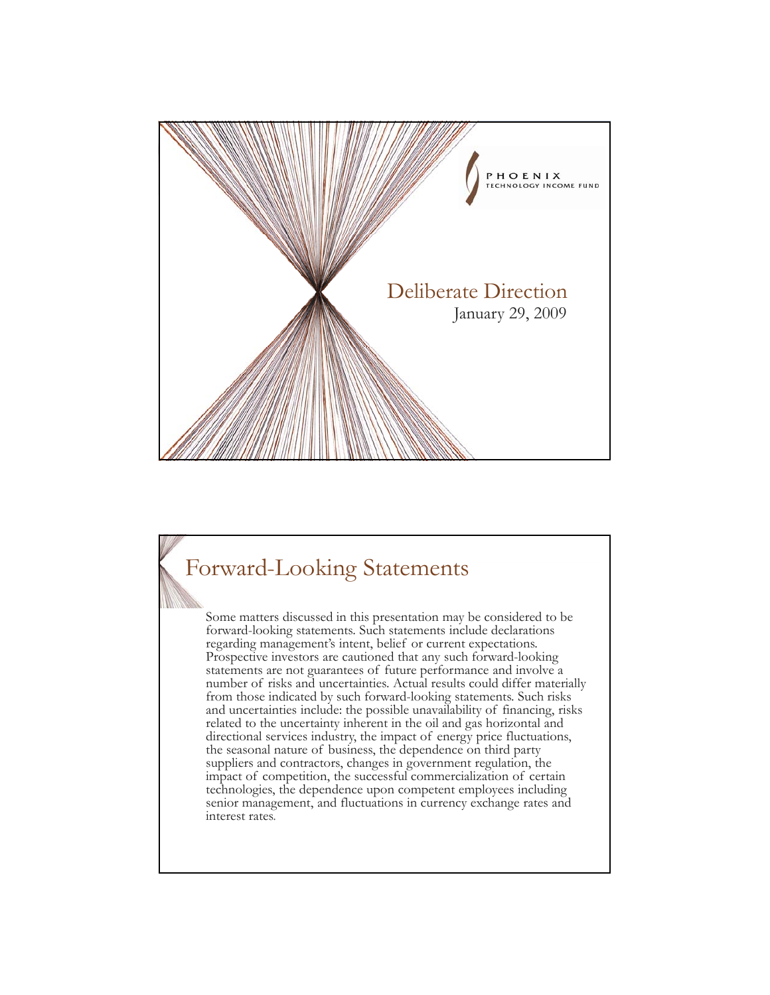

#### Forward-Looking Statements

Some matters discussed in this presentation may be considered to be forward-looking statements. Such statements include declarations regarding management's intent, belief or current expectations. Prospective investors are cautioned that any such forward-looking statements are not guarantees of future performance and involve a number of risks and uncertainties. Actual results could differ materially from those indicated by such forward-looking statements. Such risks and uncertainties include: the possible unavailability of financing, risks related to the uncertainty inherent in the oil and gas horizontal and directional services industry, the impact of energy price fluctuations, the seasonal nature of business, the dependence on third party suppliers and contractors, changes in government regulation, the impact of competition, the successful commercialization of certain technologies, the dependence upon competent employees including senior management, and fluctuations in currency exchange rates and interest rates.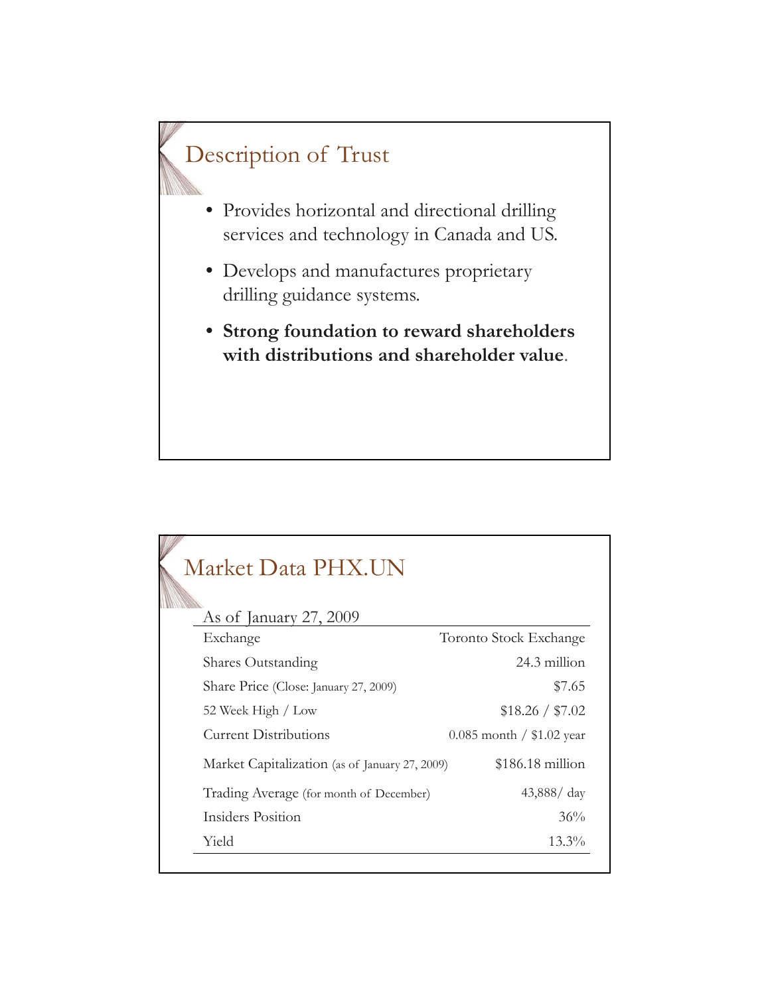#### Description of Trust

- Provides horizontal and directional drilling services and technology in Canada and US.
- Develops and manufactures proprietary drilling guidance systems.
- **Strong foundation to reward shareholders with distributions and shareholder value**.

| Market Data PHX.UN                             |                             |
|------------------------------------------------|-----------------------------|
| As of January $27,2009$                        |                             |
| Exchange                                       | Toronto Stock Exchange      |
| <b>Shares Outstanding</b>                      | 24.3 million                |
| Share Price (Close: January 27, 2009)          | \$7.65                      |
| 52 Week High / Low                             | \$18.26 / \$7.02            |
| Current Distributions                          | $0.085$ month / \$1.02 year |
| Market Capitalization (as of January 27, 2009) | $$186.18$ million           |
| Trading Average (for month of December)        | $43,888 / \text{day}$       |
| Insiders Position                              | 36%                         |
| Yield                                          | $13.3\%$                    |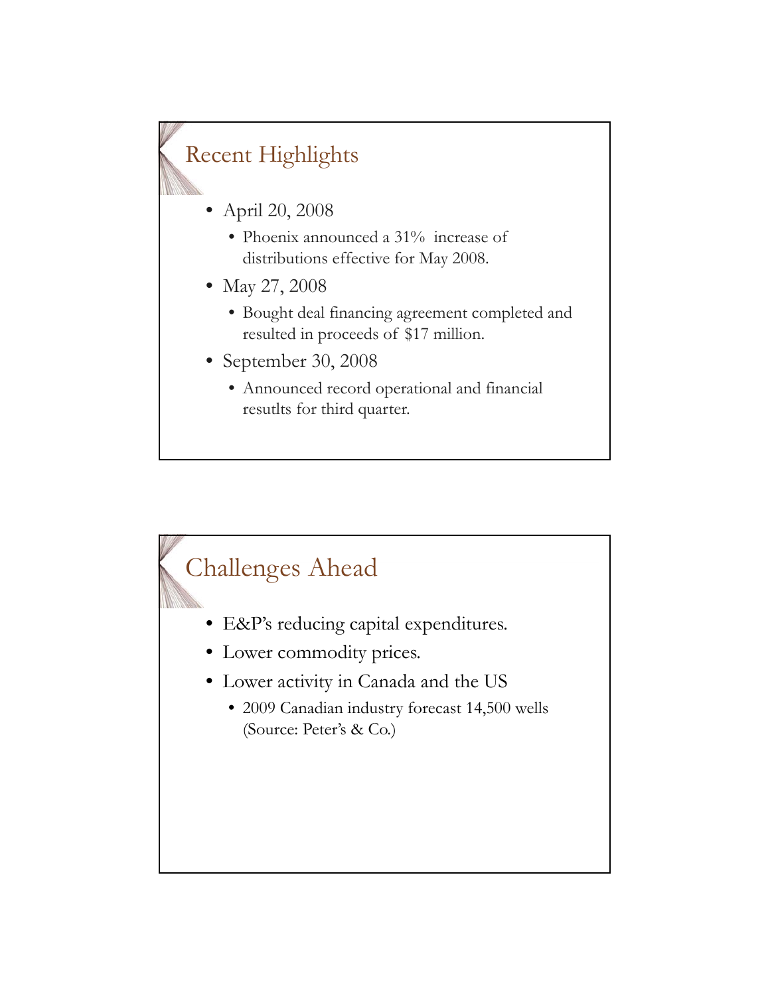### Recent Highlights

- April 20, 2008
	- Phoenix announced a  $31\%$  increase of distributions effective for May 2008.
- May 27, 2008
	- Bought deal financing agreement completed and resulted in proceeds of \$17 million.
- September 30, 2008
	- Announced record operational and financial resutlts for third quarter.

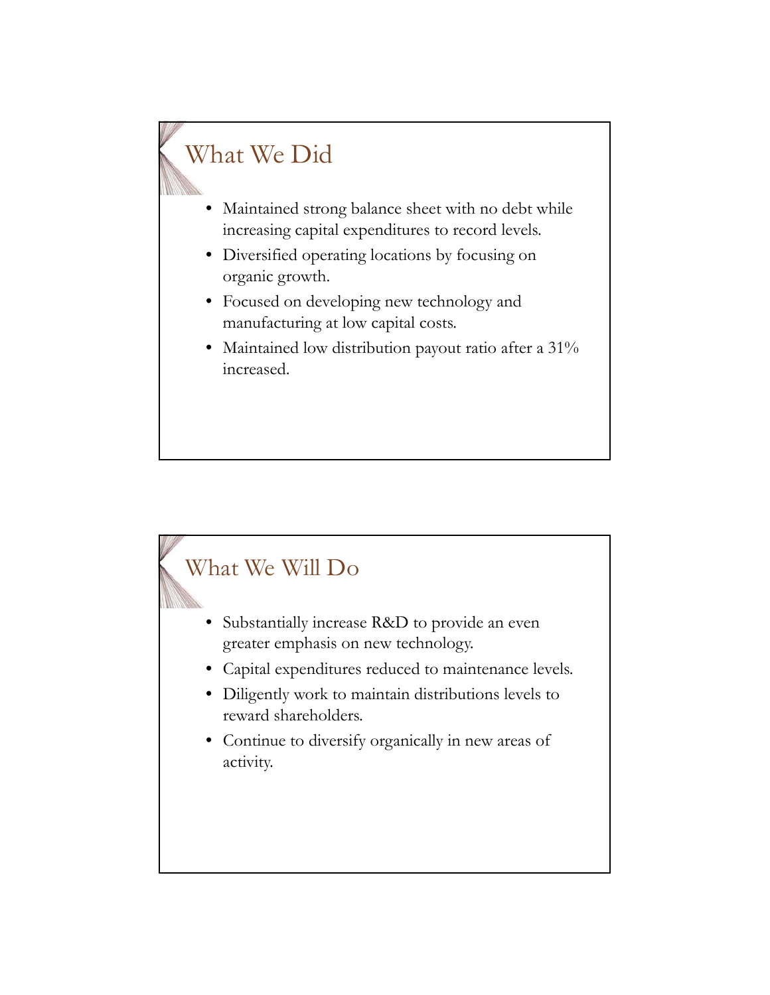### What We Did

- Maintained strong balance sheet with no debt while increasing capital expenditures to record levels.
- Diversified operating locations by focusing on organic growth.
- Focused on developing new technology and manufacturing at low capital costs.
- $\bullet$  Maintained low distribution payout ratio after a 31% increased.

## What We Will Do • Substantially increase R&D to provide an even greater emphasis on new technology. • Capital expenditures reduced to maintenance levels. • Diligently work to maintain distributions levels to reward shareholders. • Continue to diversify organically in new areas of activity.